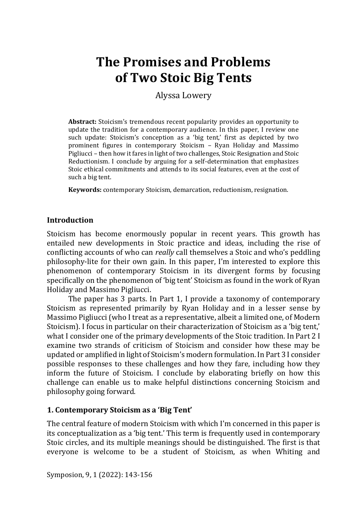# **The Promises and Problems of Two Stoic Big Tents**

Alyssa Lowery

**Abstract:** Stoicism's tremendous recent popularity provides an opportunity to update the tradition for a contemporary audience. In this paper, I review one such update: Stoicism's conception as a 'big tent,' first as depicted by two prominent figures in contemporary Stoicism – Ryan Holiday and Massimo Pigliucci – then how it fares in light of two challenges, Stoic Resignation and Stoic Reductionism. I conclude by arguing for a self-determination that emphasizes Stoic ethical commitments and attends to its social features, even at the cost of such a big tent.

**Keywords:** contemporary Stoicism, demarcation, reductionism, resignation.

# **Introduction**

Stoicism has become enormously popular in recent years. This growth has entailed new developments in Stoic practice and ideas, including the rise of conflicting accounts of who can *really* call themselves a Stoic and who's peddling philosophy-lite for their own gain. In this paper, I'm interested to explore this phenomenon of contemporary Stoicism in its divergent forms by focusing specifically on the phenomenon of 'big tent' Stoicism as found in the work of Ryan Holiday and Massimo Pigliucci.

The paper has 3 parts. In Part 1, I provide a taxonomy of contemporary Stoicism as represented primarily by Ryan Holiday and in a lesser sense by Massimo Pigliucci (who I treat as a representative, albeit a limited one, of Modern Stoicism). I focus in particular on their characterization of Stoicism as a 'big tent,' what I consider one of the primary developments of the Stoic tradition. In Part 2 I examine two strands of criticism of Stoicism and consider how these may be updated or amplified in light of Stoicism's modern formulation. In Part 3 I consider possible responses to these challenges and how they fare, including how they inform the future of Stoicism. I conclude by elaborating briefly on how this challenge can enable us to make helpful distinctions concerning Stoicism and philosophy going forward.

# **1. Contemporary Stoicism as a 'Big Tent'**

The central feature of modern Stoicism with which I'm concerned in this paper is its conceptualization as a 'big tent.' This term is frequently used in contemporary Stoic circles, and its multiple meanings should be distinguished. The first is that everyone is welcome to be a student of Stoicism, as when Whiting and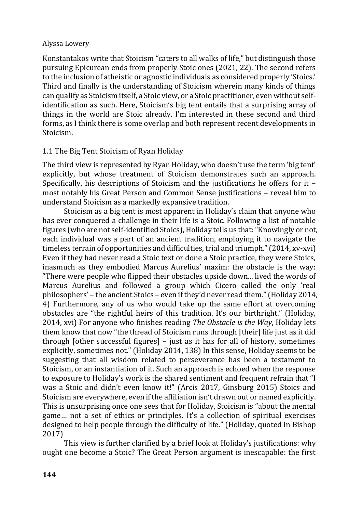Konstantakos write that Stoicism "caters to all walks of life," but distinguish those pursuing Epicurean ends from properly Stoic ones (2021, 22). The second refers to the inclusion of atheistic or agnostic individuals as considered properly 'Stoics.' Third and finally is the understanding of Stoicism wherein many kinds of things can qualify as Stoicism itself, a Stoic view, or a Stoic practitioner, even without selfidentification as such. Here, Stoicism's big tent entails that a surprising array of things in the world are Stoic already. I'm interested in these second and third forms, as I think there is some overlap and both represent recent developments in Stoicism.

# 1.1 The Big Tent Stoicism of Ryan Holiday

The third view is represented by Ryan Holiday, who doesn't use the term 'big tent' explicitly, but whose treatment of Stoicism demonstrates such an approach. Specifically, his descriptions of Stoicism and the justifications he offers for it – most notably his Great Person and Common Sense justifications – reveal him to understand Stoicism as a markedly expansive tradition.

Stoicism as a big tent is most apparent in Holiday's claim that anyone who has ever conquered a challenge in their life is a Stoic. Following a list of notable figures (who are not self-identified Stoics), Holiday tells us that: "Knowingly or not, each individual was a part of an ancient tradition, employing it to navigate the timeless terrain of opportunities and difficulties, trial and triumph." (2014, xv-xvi) Even if they had never read a Stoic text or done a Stoic practice, they were Stoics, inasmuch as they embodied Marcus Aurelius' maxim: the obstacle is the way: "There were people who flipped their obstacles upside down... lived the words of Marcus Aurelius and followed a group which Cicero called the only 'real philosophers' – the ancient Stoics – even if they'd never read them." (Holiday 2014, 4) Furthermore, any of us who would take up the same effort at overcoming obstacles are "the rightful heirs of this tradition. It's our birthright." (Holiday, 2014, xvi) For anyone who finishes reading *The Obstacle is the Way*, Holiday lets them know that now "the thread of Stoicism runs through [their] life just as it did through [other successful figures] – just as it has for all of history, sometimes explicitly, sometimes not." (Holiday 2014, 138) In this sense, Holiday seems to be suggesting that all wisdom related to perseverance has been a testament to Stoicism, or an instantiation of it. Such an approach is echoed when the response to exposure to Holiday's work is the shared sentiment and frequent refrain that "I was a Stoic and didn't even know it!" (Arcis 2017, Ginsburg 2015) Stoics and Stoicism are everywhere, even if the affiliation isn't drawn out or named explicitly. This is unsurprising once one sees that for Holiday, Stoicism is "about the mental game… not a set of ethics or principles. It's a collection of spiritual exercises designed to help people through the difficulty of life." (Holiday, quoted in Bishop 2017)

This view is further clarified by a brief look at Holiday's justifications: why ought one become a Stoic? The Great Person argument is inescapable: the first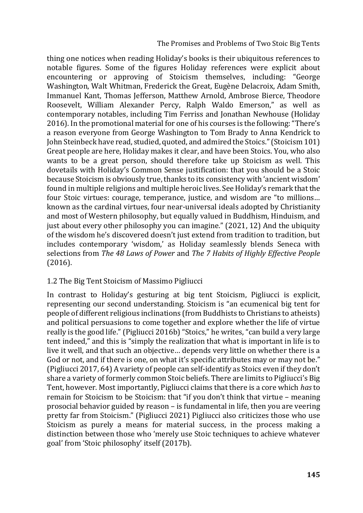thing one notices when reading Holiday's books is their ubiquitous references to notable figures. Some of the figures Holiday references were explicit about encountering or approving of Stoicism themselves, including: "George Washington, Walt Whitman, Frederick the Great, Eugène Delacroix, Adam Smith, Immanuel Kant, Thomas Jefferson, Matthew Arnold, Ambrose Bierce, Theodore Roosevelt, William Alexander Percy, Ralph Waldo Emerson," as well as contemporary notables, including Tim Ferriss and Jonathan Newhouse (Holiday 2016). In the promotional material for one of his courses is the following: "There's a reason everyone from George Washington to Tom Brady to Anna Kendrick to John Steinbeck have read, studied, quoted, and admired the Stoics." (Stoicism 101) Great people are here, Holiday makes it clear, and have been Stoics. You, who also wants to be a great person, should therefore take up Stoicism as well. This dovetails with Holiday's Common Sense justification: that you should be a Stoic because Stoicism is obviously true, thanks to its consistency with 'ancient wisdom' found in multiple religions and multiple heroic lives. See Holiday's remark that the four Stoic virtues: courage, temperance, justice, and wisdom are "to millions… known as the cardinal virtues, four near-universal ideals adopted by Christianity and most of Western philosophy, but equally valued in Buddhism, Hinduism, and just about every other philosophy you can imagine." (2021, 12) And the ubiquity of the wisdom he's discovered doesn't just extend from tradition to tradition, but includes contemporary 'wisdom,' as Holiday seamlessly blends Seneca with selections from *The 48 Laws of Power* and *The 7 Habits of Highly Effective People* (2016).

## 1.2 The Big Tent Stoicism of Massimo Pigliucci

In contrast to Holiday's gesturing at big tent Stoicism, Pigliucci is explicit, representing our second understanding. Stoicism is "an ecumenical big tent for people of different religious inclinations (from Buddhists to Christians to atheists) and political persuasions to come together and explore whether the life of virtue really is the good life." (Pigliucci 2016b) "Stoics," he writes, "can build a very large tent indeed," and this is "simply the realization that what is important in life is to live it well, and that such an objective… depends very little on whether there is a God or not, and if there is one, on what it's specific attributes may or may not be." (Pigliucci 2017, 64) A variety of people can self-identify as Stoics even if they don't share a variety of formerly common Stoic beliefs. There are limits to Pigliucci's Big Tent, however. Most importantly, Pigliucci claims that there is a core which *has* to remain for Stoicism to be Stoicism: that "if you don't think that virtue – meaning prosocial behavior guided by reason – is fundamental in life, then you are veering pretty far from Stoicism." (Pigliucci 2021) Pigliucci also criticizes those who use Stoicism as purely a means for material success, in the process making a distinction between those who 'merely use Stoic techniques to achieve whatever goal' from 'Stoic philosophy' itself (2017b).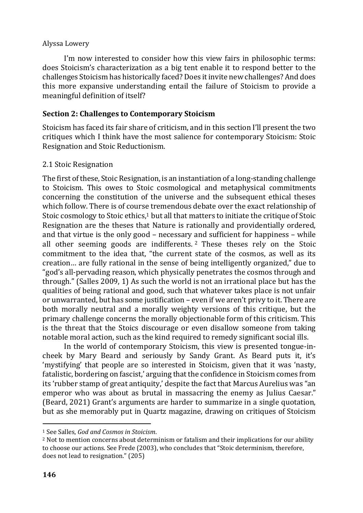I'm now interested to consider how this view fairs in philosophic terms: does Stoicism's characterization as a big tent enable it to respond better to the challenges Stoicism has historically faced? Does it invite new challenges? And does this more expansive understanding entail the failure of Stoicism to provide a meaningful definition of itself?

# **Section 2: Challenges to Contemporary Stoicism**

Stoicism has faced its fair share of criticism, and in this section I'll present the two critiques which I think have the most salience for contemporary Stoicism: Stoic Resignation and Stoic Reductionism.

## 2.1 Stoic Resignation

The first of these, Stoic Resignation, is an instantiation of a long-standing challenge to Stoicism. This owes to Stoic cosmological and metaphysical commitments concerning the constitution of the universe and the subsequent ethical theses which follow. There is of course tremendous debate over the exact relationship of Stoic cosmology to Stoic ethics, $1$  but all that matters to initiate the critique of Stoic Resignation are the theses that Nature is rationally and providentially ordered, and that virtue is the only good – necessary and sufficient for happiness – while all other seeming goods are indifferents. <sup>2</sup> These theses rely on the Stoic commitment to the idea that, "the current state of the cosmos, as well as its creation… are fully rational in the sense of being intelligently organized," due to "god's all-pervading reason, which physically penetrates the cosmos through and through." (Salles 2009, 1) As such the world is not an irrational place but has the qualities of being rational and good, such that whatever takes place is not unfair or unwarranted, but has some justification – even if we aren't privy to it. There are both morally neutral and a morally weighty versions of this critique, but the primary challenge concerns the morally objectionable form of this criticism. This is the threat that the Stoics discourage or even disallow someone from taking notable moral action, such as the kind required to remedy significant social ills.

In the world of contemporary Stoicism, this view is presented tongue-incheek by Mary Beard and seriously by Sandy Grant. As Beard puts it, it's 'mystifying' that people are so interested in Stoicism, given that it was 'nasty, fatalistic, bordering on fascist,' arguing that the confidence in Stoicism comes from its 'rubber stamp of great antiquity,' despite the fact that Marcus Aurelius was "an emperor who was about as brutal in massacring the enemy as Julius Caesar." (Beard, 2021) Grant's arguments are harder to summarize in a single quotation, but as she memorably put in Quartz magazine, drawing on critiques of Stoicism

<sup>1</sup> See Salles, *God and Cosmos in Stoicism*.

<sup>&</sup>lt;sup>2</sup> Not to mention concerns about determinism or fatalism and their implications for our ability to choose our actions. See Frede (2003), who concludes that "Stoic determinism, therefore, does not lead to resignation." (205)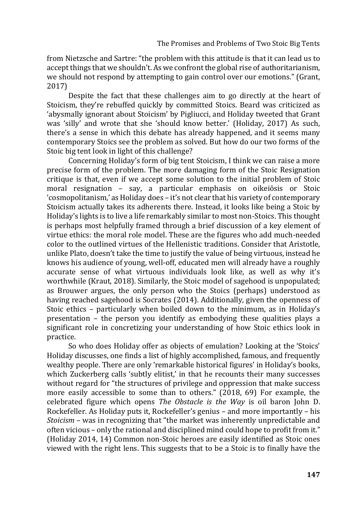from Nietzsche and Sartre: "the problem with this attitude is that it can lead us to accept things that we shouldn't. As we confront the global rise of authoritarianism, we should not respond by attempting to gain control over our emotions." (Grant, 2017)

Despite the fact that these challenges aim to go directly at the heart of Stoicism, they're rebuffed quickly by committed Stoics. Beard was criticized as 'abysmally ignorant about Stoicism' by Pigliucci, and Holiday tweeted that Grant was 'silly' and wrote that she 'should know better.' (Holiday, 2017) As such, there's a sense in which this debate has already happened, and it seems many contemporary Stoics see the problem as solved. But how do our two forms of the Stoic big tent look in light of this challenge?

Concerning Holiday's form of big tent Stoicism, I think we can raise a more precise form of the problem. The more damaging form of the Stoic Resignation critique is that, even if we accept some solution to the initial problem of Stoic moral resignation – say, a particular emphasis on oikeiōsis or Stoic 'cosmopolitanism,' as Holiday does – it's not clear that his variety of contemporary Stoicism actually takes its adherents there. Instead, it looks like being a Stoic by Holiday's lights is to live a life remarkably similar to most non-Stoics. This thought is perhaps most helpfully framed through a brief discussion of a key element of virtue ethics: the moral role model. These are the figures who add much-needed color to the outlined virtues of the Hellenistic traditions. Consider that Aristotle, unlike Plato, doesn't take the time to justify the value of being virtuous, instead he knows his audience of young, well-off, educated men will already have a roughly accurate sense of what virtuous individuals look like, as well as why it's worthwhile (Kraut, 2018). Similarly, the Stoic model of sagehood is unpopulated; as Brouwer argues, the only person who the Stoics (perhaps) understood as having reached sagehood is Socrates (2014). Additionally, given the openness of Stoic ethics – particularly when boiled down to the minimum, as in Holiday's presentation – the person you identify as embodying these qualities plays a significant role in concretizing your understanding of how Stoic ethics look in practice.

So who does Holiday offer as objects of emulation? Looking at the 'Stoics' Holiday discusses, one finds a list of highly accomplished, famous, and frequently wealthy people. There are only 'remarkable historical figures' in Holiday's books, which Zuckerberg calls 'subtly elitist,' in that he recounts their many successes without regard for "the structures of privilege and oppression that make success more easily accessible to some than to others." (2018, 69) For example, the celebrated figure which opens *The Obstacle is the Way* is oil baron John D. Rockefeller. As Holiday puts it, Rockefeller's genius – and more importantly – his *Stoicism* – was in recognizing that "the market was inherently unpredictable and often vicious – only the rational and disciplined mind could hope to profit from it." (Holiday 2014, 14) Common non-Stoic heroes are easily identified as Stoic ones viewed with the right lens. This suggests that to be a Stoic is to finally have the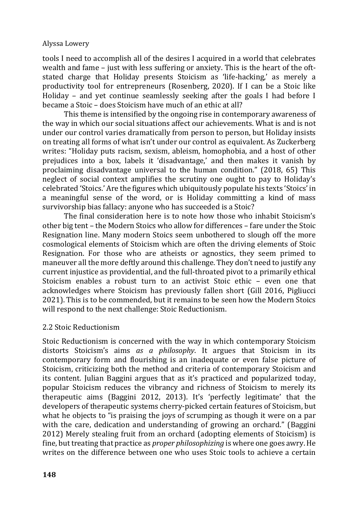tools I need to accomplish all of the desires I acquired in a world that celebrates wealth and fame – just with less suffering or anxiety. This is the heart of the oftstated charge that Holiday presents Stoicism as 'life-hacking,' as merely a productivity tool for entrepreneurs (Rosenberg, 2020). If I can be a Stoic like Holiday – and yet continue seamlessly seeking after the goals I had before I became a Stoic – does Stoicism have much of an ethic at all?

This theme is intensified by the ongoing rise in contemporary awareness of the way in which our social situations affect our achievements. What is and is not under our control varies dramatically from person to person, but Holiday insists on treating all forms of what isn't under our control as equivalent. As Zuckerberg writes: "Holiday puts racism, sexism, ableism, homophobia, and a host of other prejudices into a box, labels it 'disadvantage,' and then makes it vanish by proclaiming disadvantage universal to the human condition." (2018, 65) This neglect of social context amplifies the scrutiny one ought to pay to Holiday's celebrated 'Stoics.' Are the figures which ubiquitously populate his texts 'Stoics' in a meaningful sense of the word, or is Holiday committing a kind of mass survivorship bias fallacy: anyone who has succeeded is a Stoic?

The final consideration here is to note how those who inhabit Stoicism's other big tent – the Modern Stoics who allow for differences – fare under the Stoic Resignation line. Many modern Stoics seem unbothered to slough off the more cosmological elements of Stoicism which are often the driving elements of Stoic Resignation. For those who are atheists or agnostics, they seem primed to maneuver all the more deftly around this challenge. They don't need to justify any current injustice as providential, and the full-throated pivot to a primarily ethical Stoicism enables a robust turn to an activist Stoic ethic – even one that acknowledges where Stoicism has previously fallen short (Gill 2016, Pigliucci 2021). This is to be commended, but it remains to be seen how the Modern Stoics will respond to the next challenge: Stoic Reductionism.

## 2.2 Stoic Reductionism

Stoic Reductionism is concerned with the way in which contemporary Stoicism distorts Stoicism's aims *as a philosophy*. It argues that Stoicism in its contemporary form and flourishing is an inadequate or even false picture of Stoicism, criticizing both the method and criteria of contemporary Stoicism and its content. Julian Baggini argues that as it's practiced and popularized today, popular Stoicism reduces the vibrancy and richness of Stoicism to merely its therapeutic aims (Baggini 2012, 2013). It's 'perfectly legitimate' that the developers of therapeutic systems cherry-picked certain features of Stoicism, but what he objects to "is praising the joys of scrumping as though it were on a par with the care, dedication and understanding of growing an orchard." (Baggini 2012) Merely stealing fruit from an orchard (adopting elements of Stoicism) is fine, but treating that practice as *proper philosophizing* is where one goes awry. He writes on the difference between one who uses Stoic tools to achieve a certain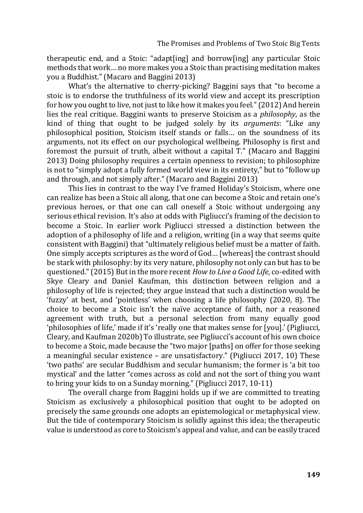therapeutic end, and a Stoic: "adapt[ing] and borrow[ing] any particular Stoic methods that work… no more makes you a Stoic than practising meditation makes you a Buddhist." (Macaro and Baggini 2013)

What's the alternative to cherry-picking? Baggini says that "to become a stoic is to endorse the truthfulness of its world view and accept its prescription for how you ought to live, not just to like how it makes you feel." (2012) And herein lies the real critique. Baggini wants to preserve Stoicism as a *philosophy*, as the kind of thing that ought to be judged solely by its *arguments*: "Like any philosophical position, Stoicism itself stands or falls… on the soundness of its arguments, not its effect on our psychological wellbeing. Philosophy is first and foremost the pursuit of truth, albeit without a capital T." (Macaro and Baggini 2013) Doing philosophy requires a certain openness to revision; to philosophize is not to "simply adopt a fully formed world view in its entirety," but to "follow up and through, and not simply after." (Macaro and Baggini 2013)

This lies in contrast to the way I've framed Holiday's Stoicism, where one can realize has been a Stoic all along, that one can become a Stoic and retain one's previous heroes, or that one can call oneself a Stoic without undergoing any serious ethical revision. It's also at odds with Pigliucci's framing of the decision to become a Stoic. In earlier work Pigliucci stressed a distinction between the adoption of a philosophy of life and a religion, writing (in a way that seems quite consistent with Baggini) that "ultimately religious belief must be a matter of faith. One simply accepts scriptures as the word of God… [whereas] the contrast should be stark with philosophy: by its very nature, philosophy not only can but has to be questioned." (2015) But in the more recent *How to Live a Good Life*, co-edited with Skye Cleary and Daniel Kaufman, this distinction between religion and a philosophy of life is rejected; they argue instead that such a distinction would be 'fuzzy' at best, and 'pointless' when choosing a life philosophy (2020, 8). The choice to become a Stoic isn't the naïve acceptance of faith, nor a reasoned agreement with truth, but a personal selection from many equally good 'philosophies of life,' made if it's 'really one that makes sense for [you].' (Pigliucci, Cleary, and Kaufman 2020b) To illustrate, see Pigliucci's account of his own choice to become a Stoic, made because the "two major [paths] on offer for those seeking a meaningful secular existence – are unsatisfactory." (Pigliucci 2017, 10) These 'two paths' are secular Buddhism and secular humanism; the former is 'a bit too mystical' and the latter "comes across as cold and not the sort of thing you want to bring your kids to on a Sunday morning." (Pigliucci 2017, 10-11)

The overall charge from Baggini holds up if we are committed to treating Stoicism as exclusively a philosophical position that ought to be adopted on precisely the same grounds one adopts an epistemological or metaphysical view. But the tide of contemporary Stoicism is solidly against this idea; the therapeutic value is understood as core to Stoicism's appeal and value, and can be easily traced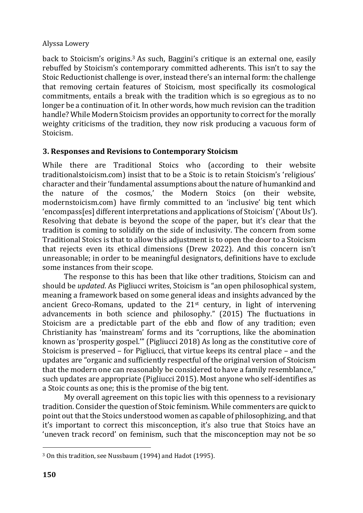back to Stoicism's origins.<sup>3</sup> As such, Baggini's critique is an external one, easily rebuffed by Stoicism's contemporary committed adherents. This isn't to say the Stoic Reductionist challenge is over, instead there's an internal form: the challenge that removing certain features of Stoicism, most specifically its cosmological commitments, entails a break with the tradition which is so egregious as to no longer be a continuation of it. In other words, how much revision can the tradition handle? While Modern Stoicism provides an opportunity to correct for the morally weighty criticisms of the tradition, they now risk producing a vacuous form of Stoicism.

# **3. Responses and Revisions to Contemporary Stoicism**

While there are Traditional Stoics who (according to their website traditionalstoicism.com) insist that to be a Stoic is to retain Stoicism's 'religious' character and their 'fundamental assumptions about the nature of humankind and the nature of the cosmos,' the Modern Stoics (on their website, modernstoicism.com) have firmly committed to an 'inclusive' big tent which 'encompass[es] different interpretations and applications of Stoicism' ('About Us'). Resolving that debate is beyond the scope of the paper, but it's clear that the tradition is coming to solidify on the side of inclusivity. The concern from some Traditional Stoics is that to allow this adjustment is to open the door to a Stoicism that rejects even its ethical dimensions (Drew 2022). And this concern isn't unreasonable; in order to be meaningful designators, definitions have to exclude some instances from their scope.

The response to this has been that like other traditions, Stoicism can and should be *updated*. As Pigliucci writes, Stoicism is "an open philosophical system, meaning a framework based on some general ideas and insights advanced by the ancient Greco-Romans, updated to the  $21<sup>st</sup>$  century, in light of intervening advancements in both science and philosophy." (2015) The fluctuations in Stoicism are a predictable part of the ebb and flow of any tradition; even Christianity has 'mainstream' forms and its "corruptions, like the abomination known as 'prosperity gospel.'" (Pigliucci 2018) As long as the constitutive core of Stoicism is preserved – for Pigliucci, that virtue keeps its central place – and the updates are "organic and sufficiently respectful of the original version of Stoicism that the modern one can reasonably be considered to have a family resemblance," such updates are appropriate (Pigliucci 2015). Most anyone who self-identifies as a Stoic counts as one; this is the promise of the big tent.

My overall agreement on this topic lies with this openness to a revisionary tradition. Consider the question of Stoic feminism. While commenters are quick to point out that the Stoics understood women as capable of philosophizing, and that it's important to correct this misconception, it's also true that Stoics have an 'uneven track record' on feminism, such that the misconception may not be so

<sup>3</sup> On this tradition, see Nussbaum (1994) and Hadot (1995).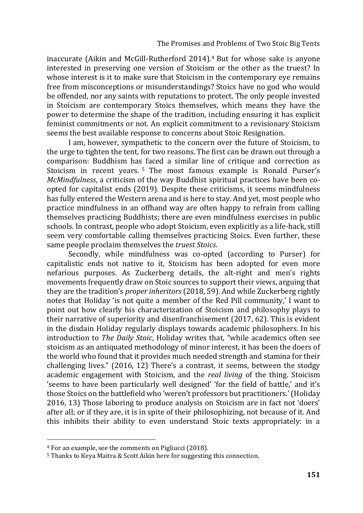inaccurate (Aikin and McGill-Rutherford 2014).<sup>4</sup> But for whose sake is anyone interested in preserving one version of Stoicism or the other as the truest? In whose interest is it to make sure that Stoicism in the contemporary eye remains free from misconceptions or misunderstandings? Stoics have no god who would be offended, nor any saints with reputations to protect. The only people invested in Stoicism are contemporary Stoics themselves, which means they have the power to determine the shape of the tradition, including ensuring it has explicit feminist commitments or not. An explicit commitment to a revisionary Stoicism seems the best available response to concerns about Stoic Resignation.

I am, however, sympathetic to the concern over the future of Stoicism, to the urge to tighten the tent, for two reasons. The first can be drawn out through a comparison: Buddhism has faced a similar line of critique and correction as Stoicism in recent years.<sup>5</sup> The most famous example is Ronald Purser's *McMindfulness*, a criticism of the way Buddhist spiritual practices have been coopted for capitalist ends (2019). Despite these criticisms, it seems mindfulness has fully entered the Western arena and is here to stay. And yet, most people who practice mindfulness in an offhand way are often happy to refrain from calling themselves practicing Buddhists; there are even mindfulness exercises in public schools. In contrast, people who adopt Stoicism, even explicitly as a life-hack, still seem very comfortable calling themselves practicing Stoics. Even further, these same people proclaim themselves the *truest Stoics*.

Secondly, while mindfulness was co-opted (according to Purser) for capitalistic ends not native to it, Stoicism has been adopted for even more nefarious purposes. As Zuckerberg details, the alt-right and men's rights movements frequently draw on Stoic sources to support their views, arguing that they are the tradition's *proper inheritors* (2018, 59). And while Zuckerberg rightly notes that Holiday 'is not quite a member of the Red Pill community,' I want to point out how clearly his characterization of Stoicism and philosophy plays to their narrative of superiority and disenfranchisement (2017, 62). This is evident in the disdain Holiday regularly displays towards academic philosophers. In his introduction to *The Daily Stoic*, Holiday writes that, "while academics often see stoicism as an antiquated methodology of minor interest, it has been the doers of the world who found that it provides much needed strength and stamina for their challenging lives." (2016, 12) There's a contrast, it seems, between the stodgy academic engagement with Stoicism, and the *real living* of the thing. Stoicism 'seems to have been particularly well designed' 'for the field of battle,' and it's those Stoics on the battlefield who 'weren't professors but practitioners.' (Holiday 2016, 13) Those laboring to produce analysis on Stoicism are in fact not 'doers' after all; or if they are, it is in spite of their philosophizing, not because of it. And this inhibits their ability to even understand Stoic texts appropriately: in a

<sup>4</sup> For an example, see the comments on Pigliucci (2018).

<sup>5</sup> Thanks to Keya Maitra & Scott Aikin here for suggesting this connection.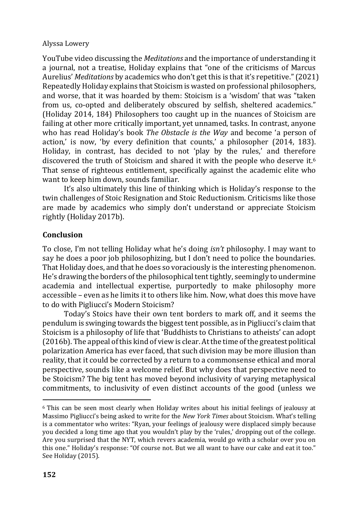YouTube video discussing the *Meditations* and the importance of understanding it a journal, not a treatise, Holiday explains that "one of the criticisms of Marcus Aurelius' *Meditations* by academics who don't get this is that it's repetitive." (2021) Repeatedly Holiday explains that Stoicism is wasted on professional philosophers, and worse, that it was hoarded by them: Stoicism is a 'wisdom' that was "taken from us, co-opted and deliberately obscured by selfish, sheltered academics." (Holiday 2014, 184) Philosophers too caught up in the nuances of Stoicism are failing at other more critically important, yet unnamed, tasks. In contrast, anyone who has read Holiday's book *The Obstacle is the Way* and become 'a person of action,' is now, 'by every definition that counts,' a philosopher (2014, 183). Holiday, in contrast, has decided to not 'play by the rules,' and therefore discovered the truth of Stoicism and shared it with the people who deserve it.<sup>6</sup> That sense of righteous entitlement, specifically against the academic elite who want to keep him down, sounds familiar.

It's also ultimately this line of thinking which is Holiday's response to the twin challenges of Stoic Resignation and Stoic Reductionism. Criticisms like those are made by academics who simply don't understand or appreciate Stoicism rightly (Holiday 2017b).

# **Conclusion**

To close, I'm not telling Holiday what he's doing *isn't* philosophy. I may want to say he does a poor job philosophizing, but I don't need to police the boundaries. That Holiday does, and that he does so voraciously is the interesting phenomenon. He's drawing the borders of the philosophical tent tightly, seemingly to undermine academia and intellectual expertise, purportedly to make philosophy more accessible – even as he limits it to others like him. Now, what does this move have to do with Pigliucci's Modern Stoicism?

Today's Stoics have their own tent borders to mark off, and it seems the pendulum is swinging towards the biggest tent possible, as in Pigliucci's claim that Stoicism is a philosophy of life that 'Buddhists to Christians to atheists' can adopt (2016b). The appeal of this kind of view is clear. At the time of the greatest political polarization America has ever faced, that such division may be more illusion than reality, that it could be corrected by a return to a commonsense ethical and moral perspective, sounds like a welcome relief. But why does that perspective need to be Stoicism? The big tent has moved beyond inclusivity of varying metaphysical commitments, to inclusivity of even distinct accounts of the good (unless we

<sup>6</sup> This can be seen most clearly when Holiday writes about his initial feelings of jealousy at Massimo Pigliucci's being asked to write for the *New York Times* about Stoicism. What's telling is a commentator who writes: "Ryan, your feelings of jealousy were displaced simply because you decided a long time ago that you wouldn't play by the 'rules,' dropping out of the college. Are you surprised that the NYT, which revers academia, would go with a scholar over you on this one." Holiday's response: "Of course not. But we all want to have our cake and eat it too." See Holiday (2015).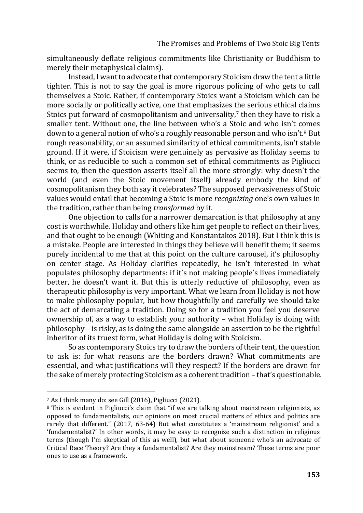simultaneously deflate religious commitments like Christianity or Buddhism to merely their metaphysical claims).

Instead, I want to advocate that contemporary Stoicism draw the tent a little tighter. This is not to say the goal is more rigorous policing of who gets to call themselves a Stoic. Rather, if contemporary Stoics want a Stoicism which can be more socially or politically active, one that emphasizes the serious ethical claims Stoics put forward of cosmopolitanism and universality,<sup>7</sup> then they have to risk a smaller tent. Without one, the line between who's a Stoic and who isn't comes down to a general notion of who's a roughly reasonable person and who isn't.<sup>8</sup> But rough reasonability, or an assumed similarity of ethical commitments, isn't stable ground. If it were, if Stoicism were genuinely as pervasive as Holiday seems to think, or as reducible to such a common set of ethical commitments as Pigliucci seems to, then the question asserts itself all the more strongly: why doesn't the world (and even the Stoic movement itself) already embody the kind of cosmopolitanism they both say it celebrates? The supposed pervasiveness of Stoic values would entail that becoming a Stoic is more *recognizing* one's own values in the tradition, rather than being *transformed* by it.

One objection to calls for a narrower demarcation is that philosophy at any cost is worthwhile. Holiday and others like him get people to reflect on their lives, and that ought to be enough (Whiting and Konstantakos 2018). But I think this is a mistake. People are interested in things they believe will benefit them; it seems purely incidental to me that at this point on the culture carousel, it's philosophy on center stage. As Holiday clarifies repeatedly, he isn't interested in what populates philosophy departments: if it's not making people's lives immediately better, he doesn't want it. But this is utterly reductive of philosophy, even as therapeutic philosophy is very important. What we learn from Holiday is not how to make philosophy popular, but how thoughtfully and carefully we should take the act of demarcating a tradition. Doing so for a tradition you feel you deserve ownership of, as a way to establish your authority – what Holiday is doing with philosophy – is risky, as is doing the same alongside an assertion to be the rightful inheritor of its truest form, what Holiday is doing with Stoicism.

So as contemporary Stoics try to draw the borders of their tent, the question to ask is: for what reasons are the borders drawn? What commitments are essential, and what justifications will they respect? If the borders are drawn for the sake of merely protecting Stoicism as a coherent tradition – that's questionable.

<sup>7</sup> As I think many do: see Gill (2016), Pigliucci (2021).

<sup>8</sup> This is evident in Pigliucci's claim that "if we are talking about mainstream religionists, as opposed to fundamentalists, our opinions on most crucial matters of ethics and politics are rarely that different." (2017, 63-64) But what constitutes a 'mainstream religionist' and a 'fundamentalist?' In other words, it may be easy to recognize such a distinction in religious terms (though I'm skeptical of this as well), but what about someone who's an advocate of Critical Race Theory? Are they a fundamentalist? Are they mainstream? These terms are poor ones to use as a framework.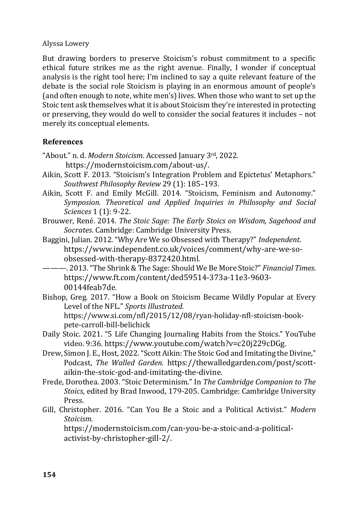But drawing borders to preserve Stoicism's robust commitment to a specific ethical future strikes me as the right avenue. Finally, I wonder if conceptual analysis is the right tool here; I'm inclined to say a quite relevant feature of the debate is the social role Stoicism is playing in an enormous amount of people's (and often enough to note, white men's) lives. When those who want to set up the Stoic tent ask themselves what it is about Stoicism they're interested in protecting or preserving, they would do well to consider the social features it includes – not merely its conceptual elements.

# **References**

"About." n. d. *Modern Stoicism*. Accessed January 3rd, 2022.

<https://modernstoicism.com/about-us/>.

- Aikin, Scott F. 2013. "Stoicism's Integration Problem and Epictetus' Metaphors." *Southwest Philosophy Review* 29 (1): 185–193.
- Aikin, Scott F. and Emily McGill. 2014. "Stoicism, Feminism and Autonomy." *Symposion. Theoretical and Applied Inquiries in Philosophy and Social Sciences* 1 (1): 9-22.
- Brouwer, René. 2014. *The Stoic Sage: The Early Stoics on Wisdom, Sagehood and Socrates*. Cambridge: Cambridge University Press.
- Baggini, Julian. 2012. "Why Are We so Obsessed with Therapy?" *Independent*. https://www.independent.co.uk/voices/comment/why-are-we-soobsessed-with-therapy-8372420.html.
- ———. 2013. "The Shrink & The Sage: Should We Be More Stoic?" *Financial Times*. https://www.ft.com/content/ded59514-373a-11e3-9603- 00144feab7de.
- Bishop, Greg. 2017. "How a Book on Stoicism Became Wildly Popular at Every Level of the NFL." *Sports Illustrated*. https://www.si.com/nfl/2015/12/08/ryan-holiday-nfl-stoicism-bookpete-carroll-bill-belichick
- Daily Stoic. 2021. "5 Life Changing Journaling Habits from the Stoics." YouTube video. 9:36. <https://www.youtube.com/watch?v=c20j229cDGg>.
- Drew, Simon J. E., Host, 2022. "Scott Aikin: The Stoic God and Imitating the Divine," Podcast, *The Walled Garden*. [https://thewalledgarden.com/post/scott](https://thewalledgarden.com/post/scott-aikin-the-stoic-god-and-imitating-the-divine)[aikin-the-stoic-god-and-imitating-the-divine](https://thewalledgarden.com/post/scott-aikin-the-stoic-god-and-imitating-the-divine).
- Frede, Dorothea. 2003. "Stoic Determinism." In *The Cambridge Companion to The Stoics*, edited by Brad Inwood, 179-205. Cambridge: Cambridge University Press.
- Gill, Christopher. 2016. "Can You Be a Stoic and a Political Activist." *Modern Stoicism.*

https://modernstoicism.com/can-you-be-a-stoic-and-a-politicalactivist-by-christopher-gill-2/.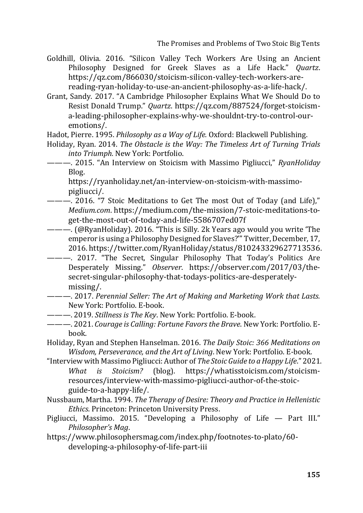- Goldhill, Olivia. 2016. "Silicon Valley Tech Workers Are Using an Ancient Philosophy Designed for Greek Slaves as a Life Hack." *Quartz*. https://qz.com/866030/stoicism-silicon-valley-tech-workers-arereading-ryan-holiday-to-use-an-ancient-philosophy-as-a-life-hack/.
- Grant, Sandy. 2017. "A Cambridge Philosopher Explains What We Should Do to Resist Donald Trump." *Quartz*. [https://qz.com/887524/forget-stoicism](https://qz.com/887524/forget-stoicism-a-leading-philosopher-explains-why-we-shouldnt-try-to-control-our-emotions/)[a-leading-philosopher-explains-why-we-shouldnt-try-to-control-our](https://qz.com/887524/forget-stoicism-a-leading-philosopher-explains-why-we-shouldnt-try-to-control-our-emotions/)[emotions/](https://qz.com/887524/forget-stoicism-a-leading-philosopher-explains-why-we-shouldnt-try-to-control-our-emotions/).
- Hadot, Pierre. 1995. *Philosophy as a Way of Life.* Oxford: Blackwell Publishing.
- Holiday, Ryan. 2014. *The Obstacle is the Way: The Timeless Art of Turning Trials into Triumph.* New York: Portfolio.
- ———. 2015. "An Interview on Stoicism with Massimo Pigliucci," *RyanHoliday* Blog.

https://ryanholiday.net/an-interview-on-stoicism-with-massimopigliucci/.

- ———. 2016. "7 Stoic Meditations to Get The most Out of Today (and Life)," *Medium.com*. [https://medium.com/the-mission/7-stoic-meditations-to](https://medium.com/the-mission/7-stoic-meditations-to-get-the-most-out-of-today-and-life-5586707ed07f)[get-the-most-out-of-today-and-life-5586707ed07f](https://medium.com/the-mission/7-stoic-meditations-to-get-the-most-out-of-today-and-life-5586707ed07f)
- ———. (@RyanHoliday). 2016. "This is Silly. 2k Years ago would you write 'The emperor is using a Philosophy Designed for Slaves?'" Twitter, December, 17, 2016. <https://twitter.com/RyanHoliday/status/810243329627713536>.
- ———. 2017. "The Secret, Singular Philosophy That Today's Politics Are Desperately Missing." *Observer*. [https://observer.com/2017/03/the](https://observer.com/2017/03/the-secret-singular-philosophy-that-todays-politics-are-desperately-missing/)[secret-singular-philosophy-that-todays-politics-are-desperately](https://observer.com/2017/03/the-secret-singular-philosophy-that-todays-politics-are-desperately-missing/)[missing/](https://observer.com/2017/03/the-secret-singular-philosophy-that-todays-politics-are-desperately-missing/).
- ———. 2017. *Perennial Seller: The Art of Making and Marketing Work that Lasts.*  New York: Portfolio. E-book.
- ———. 2019. *Stillness is The Key*. New York: Portfolio. E-book.
- ———. 2021. *Courage is Calling: Fortune Favors the Brave*. New York: Portfolio. Ebook.
- Holiday, Ryan and Stephen Hanselman. 2016. *The Daily Stoic: 366 Meditations on Wisdom, Perseverance, and the Art of Living*. New York: Portfolio. E-book.
- "Interview with Massimo Pigliucci: Author of *The Stoic Guide to a Happy Life*." 2021. *What is Stoicism?* (blog). [https://whatisstoicism.com/stoicism](https://whatisstoicism.com/stoicism-resources/interview-with-massimo-pigliucci-author-of-the-stoic-guide-to-a-happy-life/)[resources/interview-with-massimo-pigliucci-author-of-the-stoic](https://whatisstoicism.com/stoicism-resources/interview-with-massimo-pigliucci-author-of-the-stoic-guide-to-a-happy-life/)[guide-to-a-happy-life/](https://whatisstoicism.com/stoicism-resources/interview-with-massimo-pigliucci-author-of-the-stoic-guide-to-a-happy-life/).
- Nussbaum, Martha. 1994. *The Therapy of Desire: Theory and Practice in Hellenistic Ethics*. Princeton: Princeton University Press.
- Pigliucci, Massimo. 2015. "Developing a Philosophy of Life Part III." *Philosopher's Mag*.
- https://www.philosophersmag.com/index.php/footnotes-to-plato/60 developing-a-philosophy-of-life-part-iii